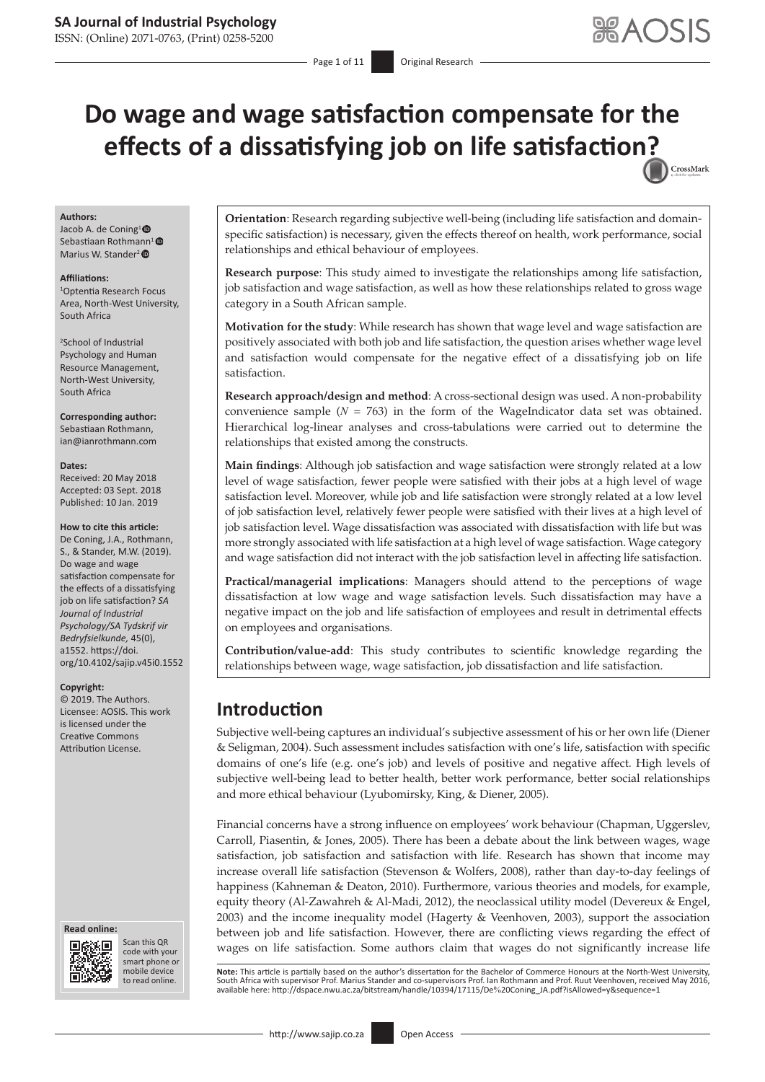ISSN: (Online) 2071-0763, (Print) 0258-5200

# **Do wage and wage satisfaction compensate for the effects of a dissatisfying job on life satisfactio[n?](http://crossmark.crossref.org/dialog/?doi=10.4102/sajip.v45i0.1552=pdf&date_stamp=2019-01-10)** CrossMark

#### **Authors:**

Jacob A. de Coning<sup>1</sup><sup>®</sup> Sebastiaan Rothmann<sup>1</sup> Marius W. Stander<sup>2</sup><sup>®</sup>

#### **Affiliations:**

1 Optentia Research Focus Area, North-West University, South Africa

2 School of Industrial Psychology and Human Resource Management, North-West University, South Africa

**Corresponding author:** Sebastiaan Rothmann, [ian@ianrothmann.com](mailto:ian@ianrothmann.com)

#### **Dates:**

Received: 20 May 2018 Accepted: 03 Sept. 2018 Published: 10 Jan. 2019

#### **How to cite this article:**

De Coning, J.A., Rothmann, S., & Stander, M.W. (2019). Do wage and wage satisfaction compensate for the effects of a dissatisfying job on life satisfaction? *SA Journal of Industrial Psychology/SA Tydskrif vir Bedryfsielkunde,* 45(0), a1552. [https://doi.](https://doi.org/10.4102/sajip.v45i0.1552) [org/10.4102/sajip.v45i0.1552](https://doi.org/10.4102/sajip.v45i0.1552)

#### **Copyright:**

© 2019. The Authors. Licensee: AOSIS. This work is licensed under the Creative Commons Attribution License.

#### **Read online: Read**



Scan this QR code with your Scan this QR<br>code with your<br>smart phone or<br>mobile device mobile device to read online. to read online.

**Orientation**: Research regarding subjective well-being (including life satisfaction and domainspecific satisfaction) is necessary, given the effects thereof on health, work performance, social relationships and ethical behaviour of employees.

**Research purpose**: This study aimed to investigate the relationships among life satisfaction, job satisfaction and wage satisfaction, as well as how these relationships related to gross wage category in a South African sample.

**Motivation for the study**: While research has shown that wage level and wage satisfaction are positively associated with both job and life satisfaction, the question arises whether wage level and satisfaction would compensate for the negative effect of a dissatisfying job on life satisfaction.

**Research approach/design and method**: A cross-sectional design was used. A non-probability convenience sample  $(N = 763)$  in the form of the WageIndicator data set was obtained. Hierarchical log-linear analyses and cross-tabulations were carried out to determine the relationships that existed among the constructs.

**Main findings**: Although job satisfaction and wage satisfaction were strongly related at a low level of wage satisfaction, fewer people were satisfied with their jobs at a high level of wage satisfaction level. Moreover, while job and life satisfaction were strongly related at a low level of job satisfaction level, relatively fewer people were satisfied with their lives at a high level of job satisfaction level. Wage dissatisfaction was associated with dissatisfaction with life but was more strongly associated with life satisfaction at a high level of wage satisfaction. Wage category and wage satisfaction did not interact with the job satisfaction level in affecting life satisfaction.

**Practical/managerial implications**: Managers should attend to the perceptions of wage dissatisfaction at low wage and wage satisfaction levels. Such dissatisfaction may have a negative impact on the job and life satisfaction of employees and result in detrimental effects on employees and organisations.

**Contribution/value-add**: This study contributes to scientific knowledge regarding the relationships between wage, wage satisfaction, job dissatisfaction and life satisfaction.

# **Introduction**

Subjective well-being captures an individual's subjective assessment of his or her own life (Diener & Seligman, 2004). Such assessment includes satisfaction with one's life, satisfaction with specific domains of one's life (e.g. one's job) and levels of positive and negative affect. High levels of subjective well-being lead to better health, better work performance, better social relationships and more ethical behaviour (Lyubomirsky, King, & Diener, 2005).

Financial concerns have a strong influence on employees' work behaviour (Chapman, Uggerslev, Carroll, Piasentin, & Jones, 2005). There has been a debate about the link between wages, wage satisfaction, job satisfaction and satisfaction with life. Research has shown that income may increase overall life satisfaction (Stevenson & Wolfers, 2008), rather than day-to-day feelings of happiness (Kahneman & Deaton, 2010). Furthermore, various theories and models, for example, equity theory (Al-Zawahreh & Al-Madi, 2012), the neoclassical utility model (Devereux & Engel, 2003) and the income inequality model (Hagerty & Veenhoven, 2003), support the association between job and life satisfaction. However, there are conflicting views regarding the effect of wages on life satisfaction. Some authors claim that wages do not significantly increase life

**Note**: This article is partially based on the author's dissertation for the Bachelor of Commerce Honours at the North-West University,<br>South Africa with supervisor Prof. Marius Stander and co-supervisors Prof. Ian Rothman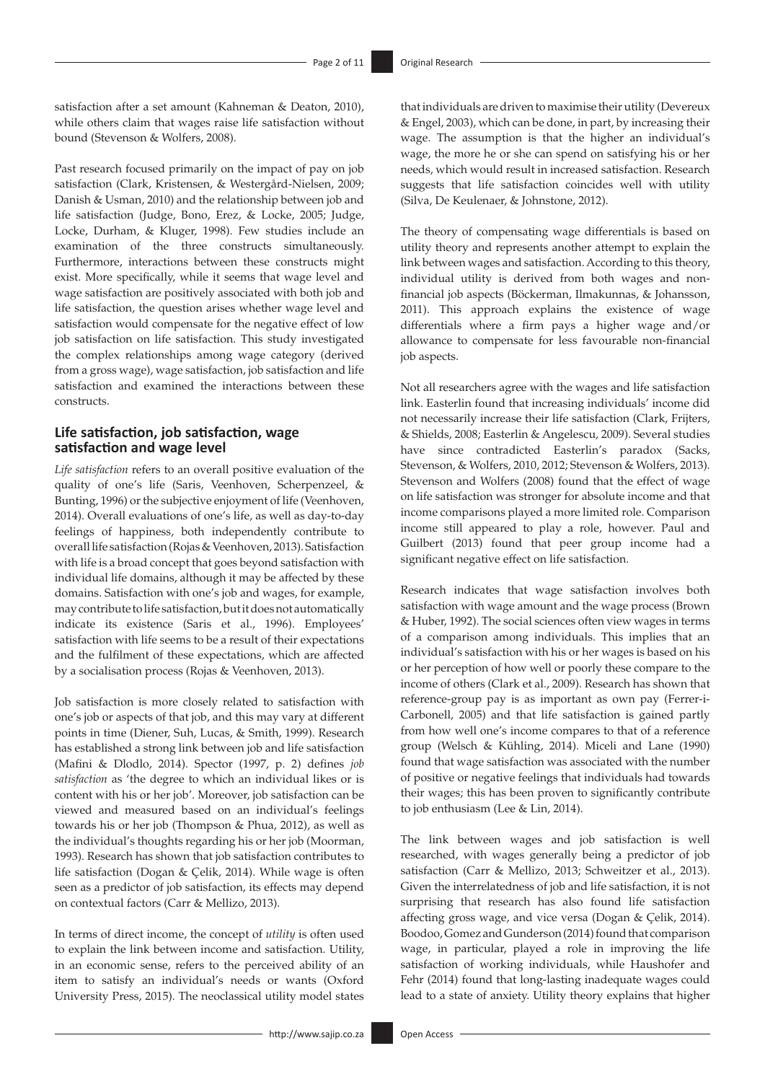satisfaction after a set amount (Kahneman & Deaton, 2010), while others claim that wages raise life satisfaction without bound (Stevenson & Wolfers, 2008).

Past research focused primarily on the impact of pay on job satisfaction (Clark, Kristensen, & Westergård-Nielsen, 2009; Danish & Usman, 2010) and the relationship between job and life satisfaction (Judge, Bono, Erez, & Locke, 2005; Judge, Locke, Durham, & Kluger, 1998). Few studies include an examination of the three constructs simultaneously. Furthermore, interactions between these constructs might exist. More specifically, while it seems that wage level and wage satisfaction are positively associated with both job and life satisfaction, the question arises whether wage level and satisfaction would compensate for the negative effect of low job satisfaction on life satisfaction. This study investigated the complex relationships among wage category (derived from a gross wage), wage satisfaction, job satisfaction and life satisfaction and examined the interactions between these constructs.

### **Life satisfaction, job satisfaction, wage satisfaction and wage level**

*Life satisfaction* refers to an overall positive evaluation of the quality of one's life (Saris, Veenhoven, Scherpenzeel, & Bunting, 1996) or the subjective enjoyment of life (Veenhoven, 2014). Overall evaluations of one's life, as well as day-to-day feelings of happiness, both independently contribute to overall life satisfaction (Rojas & Veenhoven, 2013). Satisfaction with life is a broad concept that goes beyond satisfaction with individual life domains, although it may be affected by these domains. Satisfaction with one's job and wages, for example, may contribute to life satisfaction, but it does not automatically indicate its existence (Saris et al., 1996). Employees' satisfaction with life seems to be a result of their expectations and the fulfilment of these expectations, which are affected by a socialisation process (Rojas & Veenhoven, 2013).

Job satisfaction is more closely related to satisfaction with one's job or aspects of that job, and this may vary at different points in time (Diener, Suh, Lucas, & Smith, 1999). Research has established a strong link between job and life satisfaction (Mafini & Dlodlo, 2014). Spector (1997, p. 2) defines *job satisfaction* as 'the degree to which an individual likes or is content with his or her job'. Moreover, job satisfaction can be viewed and measured based on an individual's feelings towards his or her job (Thompson & Phua, 2012), as well as the individual's thoughts regarding his or her job (Moorman, 1993). Research has shown that job satisfaction contributes to life satisfaction (Dogan & Çelik, 2014). While wage is often seen as a predictor of job satisfaction, its effects may depend on contextual factors (Carr & Mellizo, 2013).

In terms of direct income, the concept of *utility* is often used to explain the link between income and satisfaction. Utility, in an economic sense, refers to the perceived ability of an item to satisfy an individual's needs or wants (Oxford University Press, 2015). The neoclassical utility model states that individuals are driven to maximise their utility (Devereux & Engel, 2003), which can be done, in part, by increasing their wage. The assumption is that the higher an individual's wage, the more he or she can spend on satisfying his or her needs, which would result in increased satisfaction. Research suggests that life satisfaction coincides well with utility (Silva, De Keulenaer, & Johnstone, 2012).

The theory of compensating wage differentials is based on utility theory and represents another attempt to explain the link between wages and satisfaction. According to this theory, individual utility is derived from both wages and nonfinancial job aspects (Böckerman, Ilmakunnas, & Johansson, 2011). This approach explains the existence of wage differentials where a firm pays a higher wage and/or allowance to compensate for less favourable non-financial job aspects.

Not all researchers agree with the wages and life satisfaction link. Easterlin found that increasing individuals' income did not necessarily increase their life satisfaction (Clark, Frijters, & Shields, 2008; Easterlin & Angelescu, 2009). Several studies have since contradicted Easterlin's paradox (Sacks, Stevenson, & Wolfers, 2010, 2012; Stevenson & Wolfers, 2013). Stevenson and Wolfers (2008) found that the effect of wage on life satisfaction was stronger for absolute income and that income comparisons played a more limited role. Comparison income still appeared to play a role, however. Paul and Guilbert (2013) found that peer group income had a significant negative effect on life satisfaction.

Research indicates that wage satisfaction involves both satisfaction with wage amount and the wage process (Brown & Huber, 1992). The social sciences often view wages in terms of a comparison among individuals. This implies that an individual's satisfaction with his or her wages is based on his or her perception of how well or poorly these compare to the income of others (Clark et al., 2009). Research has shown that reference-group pay is as important as own pay (Ferrer-i-Carbonell, 2005) and that life satisfaction is gained partly from how well one's income compares to that of a reference group (Welsch & Kühling, 2014). Miceli and Lane (1990) found that wage satisfaction was associated with the number of positive or negative feelings that individuals had towards their wages; this has been proven to significantly contribute to job enthusiasm (Lee & Lin, 2014).

The link between wages and job satisfaction is well researched, with wages generally being a predictor of job satisfaction (Carr & Mellizo, 2013; Schweitzer et al., 2013). Given the interrelatedness of job and life satisfaction, it is not surprising that research has also found life satisfaction affecting gross wage, and vice versa (Dogan & Çelik, 2014). Boodoo, Gomez and Gunderson (2014) found that comparison wage, in particular, played a role in improving the life satisfaction of working individuals, while Haushofer and Fehr (2014) found that long-lasting inadequate wages could lead to a state of anxiety. Utility theory explains that higher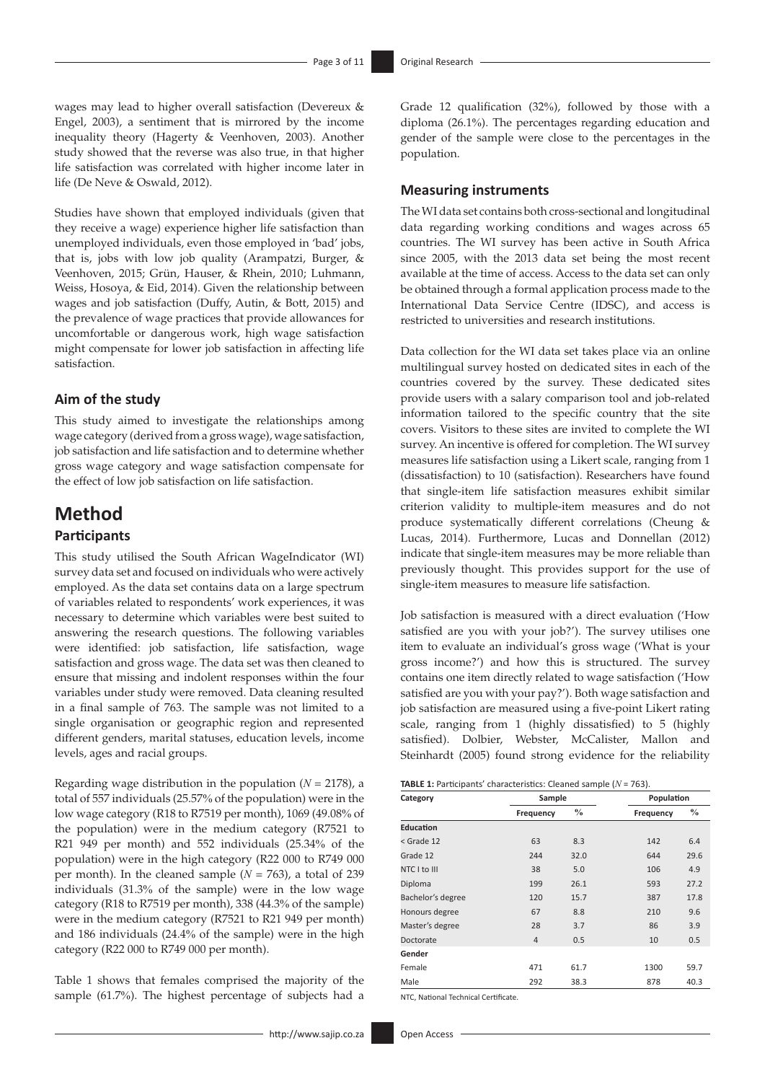wages may lead to higher overall satisfaction (Devereux & Engel, 2003), a sentiment that is mirrored by the income inequality theory (Hagerty & Veenhoven, 2003). Another study showed that the reverse was also true, in that higher life satisfaction was correlated with higher income later in life (De Neve & Oswald, 2012).

Studies have shown that employed individuals (given that they receive a wage) experience higher life satisfaction than unemployed individuals, even those employed in 'bad' jobs, that is, jobs with low job quality (Arampatzi, Burger, & Veenhoven, 2015; Grün, Hauser, & Rhein, 2010; Luhmann, Weiss, Hosoya, & Eid, 2014). Given the relationship between wages and job satisfaction (Duffy, Autin, & Bott, 2015) and the prevalence of wage practices that provide allowances for uncomfortable or dangerous work, high wage satisfaction might compensate for lower job satisfaction in affecting life satisfaction.

### **Aim of the study**

This study aimed to investigate the relationships among wage category (derived from a gross wage), wage satisfaction, job satisfaction and life satisfaction and to determine whether gross wage category and wage satisfaction compensate for the effect of low job satisfaction on life satisfaction.

# **Method**

# **Participants**

This study utilised the South African WageIndicator (WI) survey data set and focused on individuals who were actively employed. As the data set contains data on a large spectrum of variables related to respondents' work experiences, it was necessary to determine which variables were best suited to answering the research questions. The following variables were identified: job satisfaction, life satisfaction, wage satisfaction and gross wage. The data set was then cleaned to ensure that missing and indolent responses within the four variables under study were removed. Data cleaning resulted in a final sample of 763. The sample was not limited to a single organisation or geographic region and represented different genders, marital statuses, education levels, income levels, ages and racial groups.

Regarding wage distribution in the population  $(N = 2178)$ , a total of 557 individuals (25.57% of the population) were in the low wage category (R18 to R7519 per month), 1069 (49.08% of the population) were in the medium category (R7521 to R21 949 per month) and 552 individuals (25.34% of the population) were in the high category (R22 000 to R749 000 per month). In the cleaned sample  $(N = 763)$ , a total of 239 individuals (31.3% of the sample) were in the low wage category (R18 to R7519 per month), 338 (44.3% of the sample) were in the medium category (R7521 to R21 949 per month) and 186 individuals (24.4% of the sample) were in the high category (R22 000 to R749 000 per month).

Table 1 shows that females comprised the majority of the sample (61.7%). The highest percentage of subjects had a

Grade 12 qualification (32%), followed by those with a diploma (26.1%). The percentages regarding education and gender of the sample were close to the percentages in the population.

### **Measuring instruments**

The WI data set contains both cross-sectional and longitudinal data regarding working conditions and wages across 65 countries. The WI survey has been active in South Africa since 2005, with the 2013 data set being the most recent available at the time of access. Access to the data set can only be obtained through a formal application process made to the International Data Service Centre (IDSC), and access is restricted to universities and research institutions.

Data collection for the WI data set takes place via an online multilingual survey hosted on dedicated sites in each of the countries covered by the survey. These dedicated sites provide users with a salary comparison tool and job-related information tailored to the specific country that the site covers. Visitors to these sites are invited to complete the WI survey. An incentive is offered for completion. The WI survey measures life satisfaction using a Likert scale, ranging from 1 (dissatisfaction) to 10 (satisfaction). Researchers have found that single-item life satisfaction measures exhibit similar criterion validity to multiple-item measures and do not produce systematically different correlations (Cheung & Lucas, 2014). Furthermore, Lucas and Donnellan (2012) indicate that single-item measures may be more reliable than previously thought. This provides support for the use of single-item measures to measure life satisfaction.

Job satisfaction is measured with a direct evaluation ('How satisfied are you with your job?'). The survey utilises one item to evaluate an individual's gross wage ('What is your gross income?') and how this is structured. The survey contains one item directly related to wage satisfaction ('How satisfied are you with your pay?'). Both wage satisfaction and job satisfaction are measured using a five-point Likert rating scale, ranging from 1 (highly dissatisfied) to 5 (highly satisfied). Dolbier, Webster, McCalister, Mallon and Steinhardt (2005) found strong evidence for the reliability

| <b>TABLE 1:</b> Participants' characteristics: Cleaned sample ( $N = 763$ ). |  |  |  |  |
|------------------------------------------------------------------------------|--|--|--|--|
|------------------------------------------------------------------------------|--|--|--|--|

| Sample<br>Category |                | Population    |           |               |
|--------------------|----------------|---------------|-----------|---------------|
|                    | Frequency      | $\frac{0}{0}$ | Frequency | $\frac{0}{0}$ |
| <b>Education</b>   |                |               |           |               |
| < Grade 12         | 63             | 8.3           | 142       | 6.4           |
| Grade 12           | 244            | 32.0          | 644       | 29.6          |
| NTC I to III       | 38             | 5.0           | 106       | 4.9           |
| Diploma            | 199            | 26.1          | 593       | 27.2          |
| Bachelor's degree  | 120            | 15.7          | 387       | 17.8          |
| Honours degree     | 67             | 8.8           | 210       | 9.6           |
| Master's degree    | 28             | 3.7           | 86        | 3.9           |
| Doctorate          | $\overline{4}$ | 0.5           | 10        | 0.5           |
| Gender             |                |               |           |               |
| Female             | 471            | 61.7          | 1300      | 59.7          |
| Male               | 292            | 38.3          | 878       | 40.3          |

NTC, National Technical Certificate.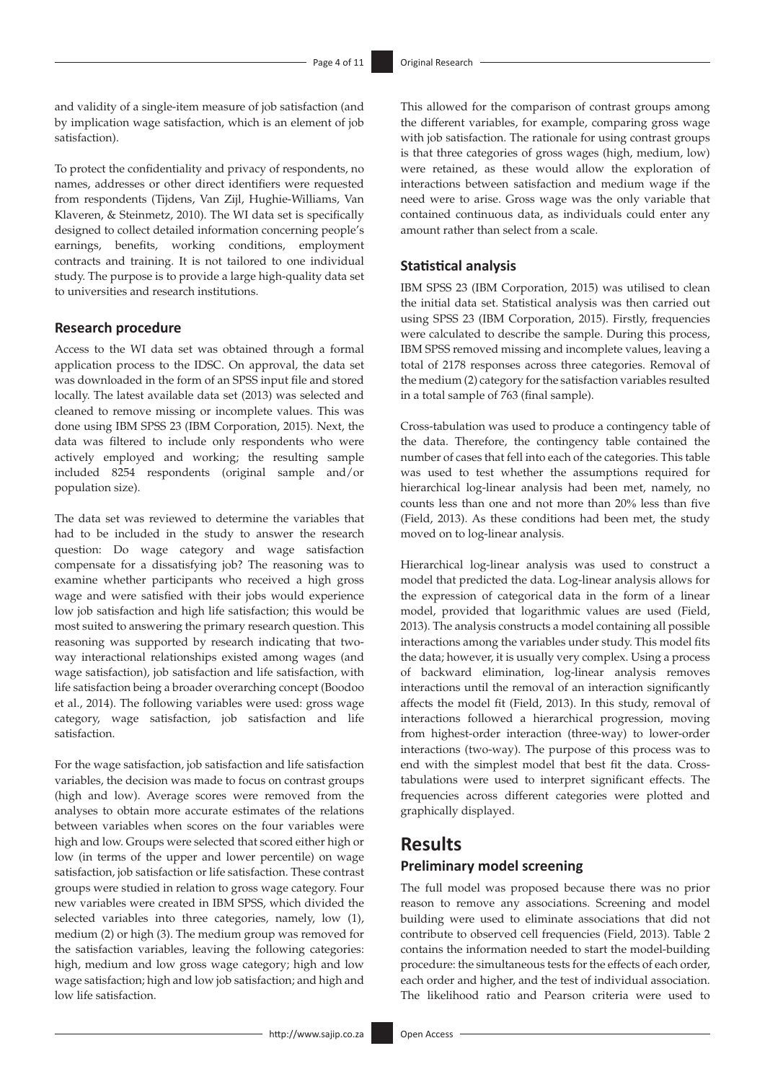and validity of a single-item measure of job satisfaction (and by implication wage satisfaction, which is an element of job satisfaction).

To protect the confidentiality and privacy of respondents, no names, addresses or other direct identifiers were requested from respondents (Tijdens, Van Zijl, Hughie-Williams, Van Klaveren, & Steinmetz, 2010). The WI data set is specifically designed to collect detailed information concerning people's earnings, benefits, working conditions, employment contracts and training. It is not tailored to one individual study. The purpose is to provide a large high-quality data set to universities and research institutions.

### **Research procedure**

Access to the WI data set was obtained through a formal application process to the IDSC. On approval, the data set was downloaded in the form of an SPSS input file and stored locally. The latest available data set (2013) was selected and cleaned to remove missing or incomplete values. This was done using IBM SPSS 23 (IBM Corporation, 2015). Next, the data was filtered to include only respondents who were actively employed and working; the resulting sample included 8254 respondents (original sample and/or population size).

The data set was reviewed to determine the variables that had to be included in the study to answer the research question: Do wage category and wage satisfaction compensate for a dissatisfying job? The reasoning was to examine whether participants who received a high gross wage and were satisfied with their jobs would experience low job satisfaction and high life satisfaction; this would be most suited to answering the primary research question. This reasoning was supported by research indicating that twoway interactional relationships existed among wages (and wage satisfaction), job satisfaction and life satisfaction, with life satisfaction being a broader overarching concept (Boodoo et al., 2014). The following variables were used: gross wage category, wage satisfaction, job satisfaction and life satisfaction.

For the wage satisfaction, job satisfaction and life satisfaction variables, the decision was made to focus on contrast groups (high and low). Average scores were removed from the analyses to obtain more accurate estimates of the relations between variables when scores on the four variables were high and low. Groups were selected that scored either high or low (in terms of the upper and lower percentile) on wage satisfaction, job satisfaction or life satisfaction. These contrast groups were studied in relation to gross wage category. Four new variables were created in IBM SPSS, which divided the selected variables into three categories, namely, low (1), medium (2) or high (3). The medium group was removed for the satisfaction variables, leaving the following categories: high, medium and low gross wage category; high and low wage satisfaction; high and low job satisfaction; and high and low life satisfaction.

This allowed for the comparison of contrast groups among the different variables, for example, comparing gross wage with job satisfaction. The rationale for using contrast groups is that three categories of gross wages (high, medium, low) were retained, as these would allow the exploration of interactions between satisfaction and medium wage if the need were to arise. Gross wage was the only variable that contained continuous data, as individuals could enter any amount rather than select from a scale.

### **Statistical analysis**

IBM SPSS 23 (IBM Corporation, 2015) was utilised to clean the initial data set. Statistical analysis was then carried out using SPSS 23 (IBM Corporation, 2015). Firstly, frequencies were calculated to describe the sample. During this process, IBM SPSS removed missing and incomplete values, leaving a total of 2178 responses across three categories. Removal of the medium (2) category for the satisfaction variables resulted in a total sample of 763 (final sample).

Cross-tabulation was used to produce a contingency table of the data. Therefore, the contingency table contained the number of cases that fell into each of the categories. This table was used to test whether the assumptions required for hierarchical log-linear analysis had been met, namely, no counts less than one and not more than 20% less than five (Field, 2013). As these conditions had been met, the study moved on to log-linear analysis.

Hierarchical log-linear analysis was used to construct a model that predicted the data. Log-linear analysis allows for the expression of categorical data in the form of a linear model, provided that logarithmic values are used (Field, 2013). The analysis constructs a model containing all possible interactions among the variables under study. This model fits the data; however, it is usually very complex. Using a process of backward elimination, log-linear analysis removes interactions until the removal of an interaction significantly affects the model fit (Field, 2013). In this study, removal of interactions followed a hierarchical progression, moving from highest-order interaction (three-way) to lower-order interactions (two-way). The purpose of this process was to end with the simplest model that best fit the data. Crosstabulations were used to interpret significant effects. The frequencies across different categories were plotted and graphically displayed.

## **Results**

### **Preliminary model screening**

The full model was proposed because there was no prior reason to remove any associations. Screening and model building were used to eliminate associations that did not contribute to observed cell frequencies (Field, 2013). Table 2 contains the information needed to start the model-building procedure: the simultaneous tests for the effects of each order, each order and higher, and the test of individual association. The likelihood ratio and Pearson criteria were used to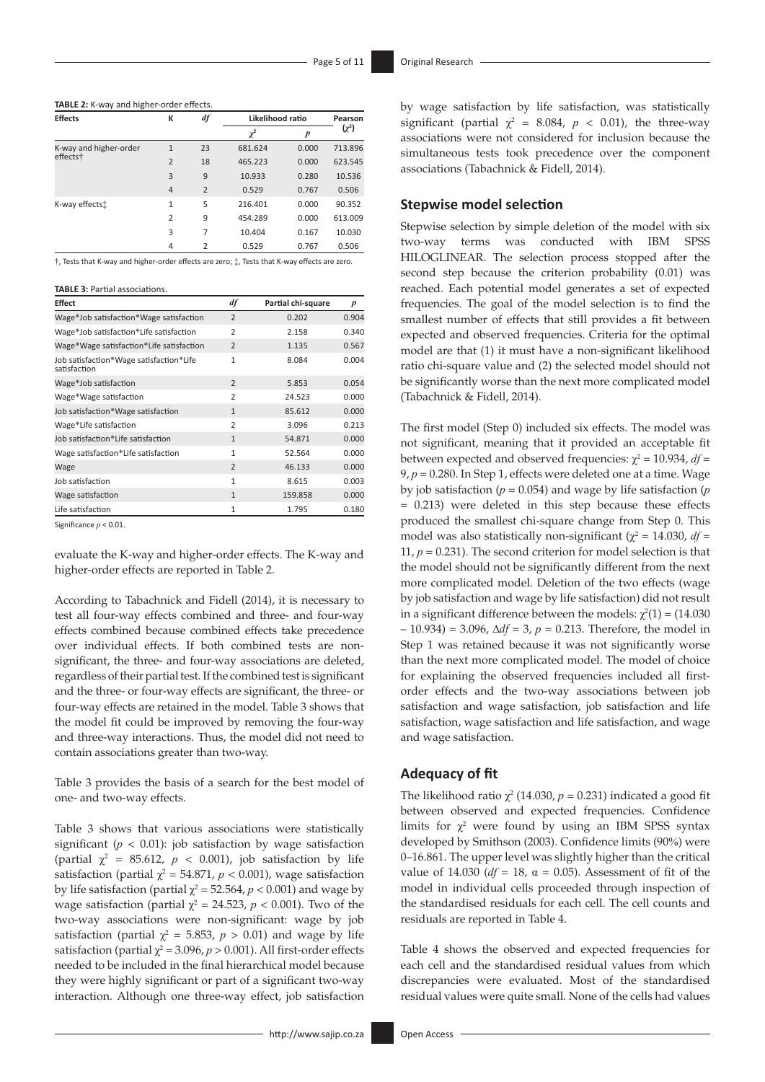| <b>Effects</b>         | К              | df             | Likelihood ratio |                  | Pearson    |
|------------------------|----------------|----------------|------------------|------------------|------------|
|                        |                |                | $\chi^2$         | $\boldsymbol{p}$ | $(\chi^2)$ |
| K-way and higher-order | $\mathbf{1}$   | 23             | 681.624          | 0.000            | 713.896    |
| effects†               | $\overline{2}$ | 18             | 465.223          | 0.000            | 623.545    |
|                        | 3              | 9              | 10.933           | 0.280            | 10.536     |
|                        | $\overline{4}$ | $\overline{2}$ | 0.529            | 0.767            | 0.506      |
| K-way effects:         | $\mathbf{1}$   | 5              | 216.401          | 0.000            | 90.352     |
|                        | $\overline{2}$ | 9              | 454.289          | 0.000            | 613.009    |
|                        | 3              | 7              | 10.404           | 0.167            | 10.030     |
|                        | 4              | $\overline{2}$ | 0.529            | 0.767            | 0.506      |

†, Tests that K-way and higher-order effects are zero; ‡, Tests that K-way effects are zero.

#### **TABLE 3:** Partial associations.

| <b>Effect</b>                                           | df             | Partial chi-square | $\boldsymbol{p}$ |
|---------------------------------------------------------|----------------|--------------------|------------------|
| Wage*Job satisfaction*Wage satisfaction                 | $\overline{2}$ | 0.202              | 0.904            |
| Wage*Job satisfaction*Life satisfaction                 | $\overline{2}$ | 2.158              | 0.340            |
| Wage*Wage satisfaction*Life satisfaction                | $\overline{2}$ | 1.135              | 0.567            |
| Job satisfaction*Wage satisfaction*Life<br>satisfaction | $\mathbf{1}$   | 8.084              | 0.004            |
| Wage*Job satisfaction                                   | $\overline{2}$ | 5.853              | 0.054            |
| Wage*Wage satisfaction                                  | $\overline{2}$ | 24.523             | 0.000            |
| Job satisfaction*Wage satisfaction                      | $\mathbf{1}$   | 85.612             | 0.000            |
| Wage*Life satisfaction                                  | $\overline{2}$ | 3.096              | 0.213            |
| Job satisfaction*Life satisfaction                      | $\mathbf{1}$   | 54.871             | 0.000            |
| Wage satisfaction*Life satisfaction                     | $\mathbf{1}$   | 52.564             | 0.000            |
| Wage                                                    | $\overline{2}$ | 46.133             | 0.000            |
| Job satisfaction                                        | $\mathbf{1}$   | 8.615              | 0.003            |
| Wage satisfaction                                       | $\mathbf{1}$   | 159.858            | 0.000            |
| Life satisfaction                                       | $\mathbf{1}$   | 1.795              | 0.180            |

Significance *p* < 0.01.

evaluate the K-way and higher-order effects. The K-way and higher-order effects are reported in Table 2.

According to Tabachnick and Fidell (2014), it is necessary to test all four-way effects combined and three- and four-way effects combined because combined effects take precedence over individual effects. If both combined tests are nonsignificant, the three- and four-way associations are deleted, regardless of their partial test. If the combined test is significant and the three- or four-way effects are significant, the three- or four-way effects are retained in the model. Table 3 shows that the model fit could be improved by removing the four-way and three-way interactions. Thus, the model did not need to contain associations greater than two-way.

Table 3 provides the basis of a search for the best model of one- and two-way effects.

Table 3 shows that various associations were statistically significant ( $p < 0.01$ ): job satisfaction by wage satisfaction (partial  $\chi^2$  = 85.612,  $p$  < 0.001), job satisfaction by life satisfaction (partial  $\chi^2 = 54.871$ ,  $p < 0.001$ ), wage satisfaction by life satisfaction (partial  $\chi^2$  = 52.564, *p* < 0.001) and wage by wage satisfaction (partial  $\chi^2 = 24.523$ ,  $p < 0.001$ ). Two of the two-way associations were non-significant: wage by job satisfaction (partial  $\chi^2 = 5.853$ ,  $p > 0.01$ ) and wage by life satisfaction (partial  $\chi^2$  = 3.096, *p* > 0.001). All first-order effects needed to be included in the final hierarchical model because they were highly significant or part of a significant two-way interaction. Although one three-way effect, job satisfaction

by wage satisfaction by life satisfaction, was statistically significant (partial  $\chi^2 = 8.084$ ,  $p < 0.01$ ), the three-way associations were not considered for inclusion because the simultaneous tests took precedence over the component associations (Tabachnick & Fidell, 2014).

### **Stepwise model selection**

Stepwise selection by simple deletion of the model with six two-way terms was conducted with IBM SPSS HILOGLINEAR. The selection process stopped after the second step because the criterion probability (0.01) was reached. Each potential model generates a set of expected frequencies. The goal of the model selection is to find the smallest number of effects that still provides a fit between expected and observed frequencies. Criteria for the optimal model are that (1) it must have a non-significant likelihood ratio chi-square value and (2) the selected model should not be significantly worse than the next more complicated model (Tabachnick & Fidell, 2014).

The first model (Step 0) included six effects. The model was not significant, meaning that it provided an acceptable fit between expected and observed frequencies:  $\chi^2 = 10.934$ ,  $df =$ 9, *p* = 0.280. In Step 1, effects were deleted one at a time. Wage by job satisfaction ( $p = 0.054$ ) and wage by life satisfaction ( $p$ ) = 0.213) were deleted in this step because these effects produced the smallest chi-square change from Step 0. This model was also statistically non-significant ( $\chi^2$  = 14.030, *df* = 11, *p* = 0.231). The second criterion for model selection is that the model should not be significantly different from the next more complicated model. Deletion of the two effects (wage by job satisfaction and wage by life satisfaction) did not result in a significant difference between the models:  $\chi^2(1) = (14.030)$ – 10.934) = 3.096, ∆*df* = 3, *p* = 0.213. Therefore, the model in Step 1 was retained because it was not significantly worse than the next more complicated model. The model of choice for explaining the observed frequencies included all firstorder effects and the two-way associations between job satisfaction and wage satisfaction, job satisfaction and life satisfaction, wage satisfaction and life satisfaction, and wage and wage satisfaction.

### **Adequacy of fit**

The likelihood ratio  $\chi^2$  (14.030, *p* = 0.231) indicated a good fit between observed and expected frequencies. Confidence limits for  $\chi^2$  were found by using an IBM SPSS syntax developed by Smithson (2003). Confidence limits (90%) were 0–16.861. The upper level was slightly higher than the critical value of 14.030 ( $df = 18$ ,  $\alpha = 0.05$ ). Assessment of fit of the model in individual cells proceeded through inspection of the standardised residuals for each cell. The cell counts and residuals are reported in Table 4.

Table 4 shows the observed and expected frequencies for each cell and the standardised residual values from which discrepancies were evaluated. Most of the standardised residual values were quite small. None of the cells had values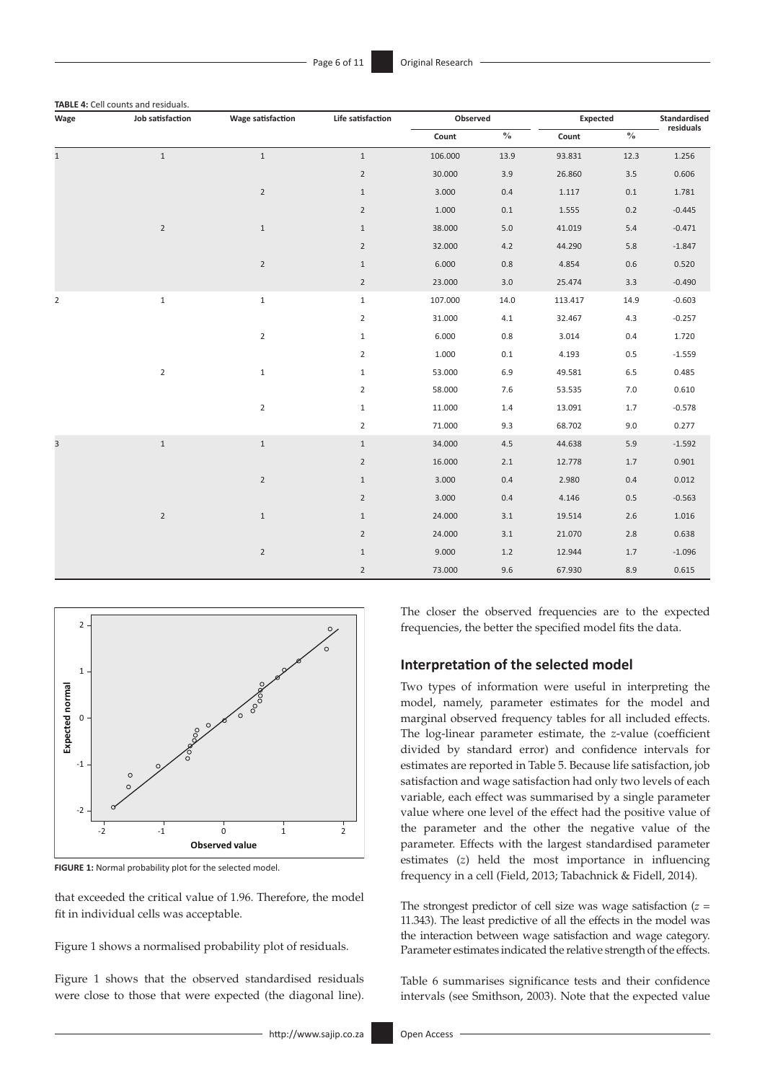| Wage           | Job satisfaction | <b>Wage satisfaction</b> | Life satisfaction |         | Observed                           |         | Expected      |           |
|----------------|------------------|--------------------------|-------------------|---------|------------------------------------|---------|---------------|-----------|
|                |                  |                          |                   | Count   | $\mathbf{0}_{\mathbf{0}}^{\prime}$ | Count   | $\frac{0}{0}$ | residuals |
| $\mathbf{1}$   | $\mathbf{1}$     | $\mathbf{1}$             | $\mathbf{1}$      | 106.000 | 13.9                               | 93.831  | 12.3          | 1.256     |
|                |                  |                          | $\overline{2}$    | 30.000  | 3.9                                | 26.860  | $3.5\,$       | 0.606     |
|                |                  | $\overline{2}$           | $\mathbf{1}$      | 3.000   | 0.4                                | 1.117   | $0.1\,$       | 1.781     |
|                |                  |                          | $\overline{2}$    | 1.000   | 0.1                                | 1.555   | $0.2\,$       | $-0.445$  |
|                | $\sqrt{2}$       | $\mathbf{1}$             | $\mathbf{1}$      | 38.000  | $5.0$                              | 41.019  | $5.4\,$       | $-0.471$  |
|                |                  |                          | $\overline{2}$    | 32.000  | 4.2                                | 44.290  | $5.8\,$       | $-1.847$  |
|                |                  | $\overline{2}$           | $\mathbf{1}$      | 6.000   | $0.8\,$                            | 4.854   | $0.6\,$       | 0.520     |
|                |                  |                          | $\overline{2}$    | 23.000  | 3.0                                | 25.474  | $3.3\,$       | $-0.490$  |
| $\overline{2}$ | $\mathbf 1$      | $\mathbf{1}$             | $\mathbf{1}$      | 107.000 | 14.0                               | 113.417 | 14.9          | $-0.603$  |
|                |                  |                          | $\overline{2}$    | 31.000  | 4.1                                | 32.467  | 4.3           | $-0.257$  |
|                |                  | $\overline{2}$           | $\mathbf{1}$      | 6.000   | $0.8\,$                            | 3.014   | $0.4\,$       | 1.720     |
|                |                  |                          | $\overline{2}$    | 1.000   | $0.1\,$                            | 4.193   | $0.5\,$       | $-1.559$  |
|                | $\mathbf 2$      | $\mathbf{1}$             | $\mathbf{1}$      | 53.000  | 6.9                                | 49.581  | 6.5           | 0.485     |
|                |                  |                          | $\overline{2}$    | 58.000  | 7.6                                | 53.535  | $7.0\,$       | 0.610     |
|                |                  | $\overline{2}$           | $\mathbf{1}$      | 11.000  | $1.4$                              | 13.091  | 1.7           | $-0.578$  |
|                |                  |                          | $\overline{2}$    | 71.000  | 9.3                                | 68.702  | 9.0           | 0.277     |
| $\overline{3}$ | $\,1\,$          | $\mathbf{1}$             | $\mathbf{1}$      | 34.000  | 4.5                                | 44.638  | $5.9\,$       | $-1.592$  |
|                |                  |                          | $\overline{2}$    | 16.000  | 2.1                                | 12.778  | 1.7           | 0.901     |
|                |                  | $\overline{2}$           | $\mathbf{1}$      | 3.000   | 0.4                                | 2.980   | 0.4           | 0.012     |
|                |                  |                          | $\overline{2}$    | 3.000   | 0.4                                | 4.146   | $0.5\,$       | $-0.563$  |
|                | $\sqrt{2}$       | $\mathbf{1}$             | $\mathbf{1}$      | 24.000  | 3.1                                | 19.514  | $2.6\,$       | 1.016     |
|                |                  |                          | $\overline{2}$    | 24.000  | 3.1                                | 21.070  | $2.8\,$       | 0.638     |
|                |                  | $\overline{2}$           | $\mathbf{1}$      | 9.000   | 1.2                                | 12.944  | 1.7           | $-1.096$  |
|                |                  |                          | $\overline{2}$    | 73.000  | 9.6                                | 67.930  | 8.9           | 0.615     |



**FIGURE 1:** Normal probability plot for the selected model.

that exceeded the critical value of 1.96. Therefore, the model fit in individual cells was acceptable.

Figure 1 shows a normalised probability plot of residuals.

Figure 1 shows that the observed standardised residuals were close to those that were expected (the diagonal line). The closer the observed frequencies are to the expected frequencies, the better the specified model fits the data.

### **Interpretation of the selected model**

Two types of information were useful in interpreting the model, namely, parameter estimates for the model and marginal observed frequency tables for all included effects. The log-linear parameter estimate, the *z*-value (coefficient divided by standard error) and confidence intervals for estimates are reported in Table 5. Because life satisfaction, job satisfaction and wage satisfaction had only two levels of each variable, each effect was summarised by a single parameter value where one level of the effect had the positive value of the parameter and the other the negative value of the parameter. Effects with the largest standardised parameter estimates (*z*) held the most importance in influencing frequency in a cell (Field, 2013; Tabachnick & Fidell, 2014).

The strongest predictor of cell size was wage satisfaction (*z* = 11.343). The least predictive of all the effects in the model was the interaction between wage satisfaction and wage category. Parameter estimates indicated the relative strength of the effects.

Table 6 summarises significance tests and their confidence intervals (see Smithson, 2003). Note that the expected value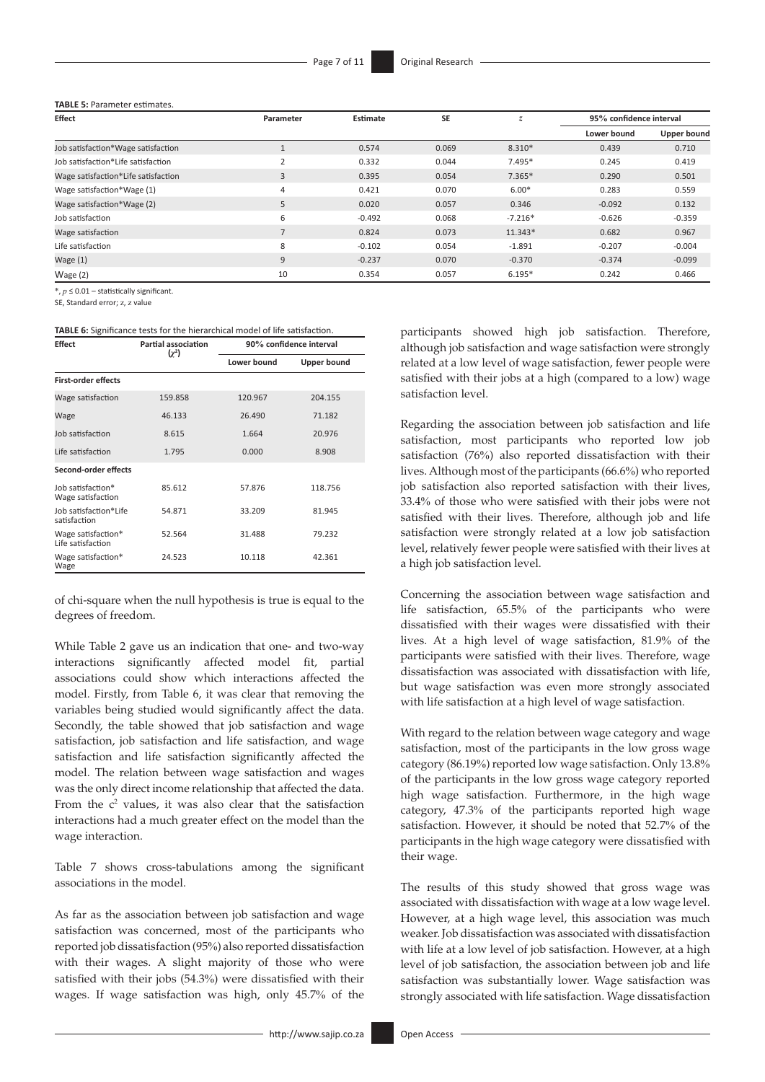#### **TABLE 5:** Parameter estimates.

| <b>Effect</b>                       | Parameter      | Estimate | <b>SE</b> | z.        | 95% confidence interval |             |
|-------------------------------------|----------------|----------|-----------|-----------|-------------------------|-------------|
|                                     |                |          |           |           | Lower bound             | Upper bound |
| Job satisfaction*Wage satisfaction  |                | 0.574    | 0.069     | 8.310*    | 0.439                   | 0.710       |
| Job satisfaction*Life satisfaction  | $\mathcal{D}$  | 0.332    | 0.044     | 7.495*    | 0.245                   | 0.419       |
| Wage satisfaction*Life satisfaction | 3              | 0.395    | 0.054     | $7.365*$  | 0.290                   | 0.501       |
| Wage satisfaction*Wage (1)          | 4              | 0.421    | 0.070     | $6.00*$   | 0.283                   | 0.559       |
| Wage satisfaction*Wage (2)          | 5              | 0.020    | 0.057     | 0.346     | $-0.092$                | 0.132       |
| Job satisfaction                    | 6              | $-0.492$ | 0.068     | $-7.216*$ | $-0.626$                | $-0.359$    |
| Wage satisfaction                   | $\overline{ }$ | 0.824    | 0.073     | $11.343*$ | 0.682                   | 0.967       |
| Life satisfaction                   | 8              | $-0.102$ | 0.054     | $-1.891$  | $-0.207$                | $-0.004$    |
| Wage $(1)$                          | 9              | $-0.237$ | 0.070     | $-0.370$  | $-0.374$                | $-0.099$    |
| Wage $(2)$                          | 10             | 0.354    | 0.057     | $6.195*$  | 0.242                   | 0.466       |

\*, *p* ≤ 0.01 – statistically significant.

SE, Standard error; z, z value

### **TABLE 6:** Significance tests for the hierarchical model of life satisfaction.

| <b>Effect</b>                           | Partial association<br>$(\chi^2)$ | 90% confidence interval |                    |  |  |
|-----------------------------------------|-----------------------------------|-------------------------|--------------------|--|--|
|                                         |                                   | Lower bound             | <b>Upper bound</b> |  |  |
| <b>First-order effects</b>              |                                   |                         |                    |  |  |
| Wage satisfaction                       | 159.858                           | 120.967                 | 204.155            |  |  |
| Wage                                    | 46.133                            | 26.490                  | 71.182             |  |  |
| Job satisfaction                        | 8.615                             | 1.664                   | 20.976             |  |  |
| Life satisfaction                       | 1.795                             | 0.000                   | 8.908              |  |  |
| Second-order effects                    |                                   |                         |                    |  |  |
| Job satisfaction*<br>Wage satisfaction  | 85.612                            | 57.876                  | 118.756            |  |  |
| Job satisfaction*Life<br>satisfaction   | 54.871                            | 33.209                  | 81.945             |  |  |
| Wage satisfaction*<br>Life satisfaction | 52.564                            | 31.488                  | 79.232             |  |  |
| Wage satisfaction*<br>Wage              | 24.523                            | 10.118                  | 42.361             |  |  |

of chi-square when the null hypothesis is true is equal to the degrees of freedom.

While Table 2 gave us an indication that one- and two-way interactions significantly affected model fit, partial associations could show which interactions affected the model. Firstly, from Table 6, it was clear that removing the variables being studied would significantly affect the data. Secondly, the table showed that job satisfaction and wage satisfaction, job satisfaction and life satisfaction, and wage satisfaction and life satisfaction significantly affected the model. The relation between wage satisfaction and wages was the only direct income relationship that affected the data. From the  $c<sup>2</sup>$  values, it was also clear that the satisfaction interactions had a much greater effect on the model than the wage interaction.

Table 7 shows cross-tabulations among the significant associations in the model.

As far as the association between job satisfaction and wage satisfaction was concerned, most of the participants who reported job dissatisfaction (95%) also reported dissatisfaction with their wages. A slight majority of those who were satisfied with their jobs (54.3%) were dissatisfied with their wages. If wage satisfaction was high, only 45.7% of the

participants showed high job satisfaction. Therefore, although job satisfaction and wage satisfaction were strongly related at a low level of wage satisfaction, fewer people were satisfied with their jobs at a high (compared to a low) wage satisfaction level.

Regarding the association between job satisfaction and life satisfaction, most participants who reported low job satisfaction (76%) also reported dissatisfaction with their lives. Although most of the participants (66.6%) who reported job satisfaction also reported satisfaction with their lives, 33.4% of those who were satisfied with their jobs were not satisfied with their lives. Therefore, although job and life satisfaction were strongly related at a low job satisfaction level, relatively fewer people were satisfied with their lives at a high job satisfaction level.

Concerning the association between wage satisfaction and life satisfaction, 65.5% of the participants who were dissatisfied with their wages were dissatisfied with their lives. At a high level of wage satisfaction, 81.9% of the participants were satisfied with their lives. Therefore, wage dissatisfaction was associated with dissatisfaction with life, but wage satisfaction was even more strongly associated with life satisfaction at a high level of wage satisfaction.

With regard to the relation between wage category and wage satisfaction, most of the participants in the low gross wage category (86.19%) reported low wage satisfaction. Only 13.8% of the participants in the low gross wage category reported high wage satisfaction. Furthermore, in the high wage category, 47.3% of the participants reported high wage satisfaction. However, it should be noted that 52.7% of the participants in the high wage category were dissatisfied with their wage.

The results of this study showed that gross wage was associated with dissatisfaction with wage at a low wage level. However, at a high wage level, this association was much weaker. Job dissatisfaction was associated with dissatisfaction with life at a low level of job satisfaction. However, at a high level of job satisfaction, the association between job and life satisfaction was substantially lower. Wage satisfaction was strongly associated with life satisfaction. Wage dissatisfaction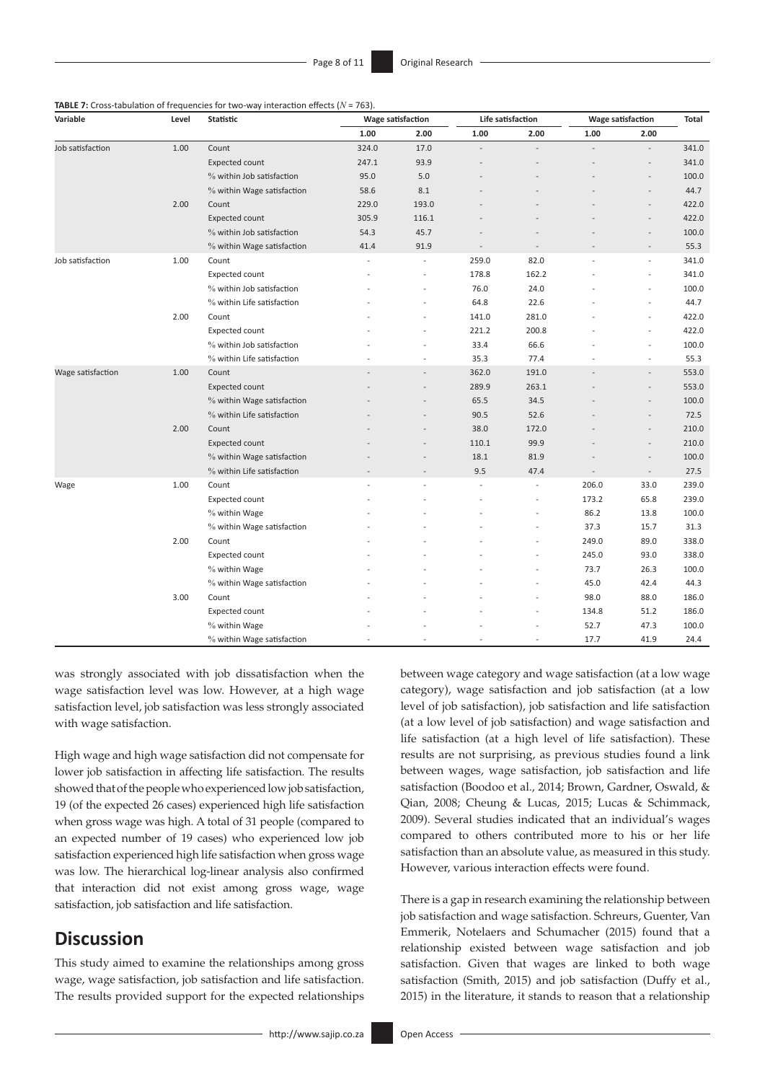| <b>TABLE 7:</b> Cross-tabulation of frequencies for two-way interaction effects ( $N = 763$ ). |  |  |  |
|------------------------------------------------------------------------------------------------|--|--|--|
|------------------------------------------------------------------------------------------------|--|--|--|

| Variable          | Level | Statistic                  | <b>Wage satisfaction</b> |                | Life satisfaction |                | <b>Wage satisfaction</b> |                          | <b>Total</b> |
|-------------------|-------|----------------------------|--------------------------|----------------|-------------------|----------------|--------------------------|--------------------------|--------------|
|                   |       |                            | 1.00                     | 2.00           | 1.00              | 2.00           | 1.00                     | 2.00                     |              |
| Job satisfaction  | 1.00  | Count                      | 324.0                    | 17.0           |                   |                |                          |                          | 341.0        |
|                   |       | <b>Expected count</b>      | 247.1                    | 93.9           |                   |                |                          |                          | 341.0        |
|                   |       | % within Job satisfaction  | 95.0                     | 5.0            |                   |                |                          |                          | 100.0        |
|                   |       | % within Wage satisfaction | 58.6                     | 8.1            |                   |                |                          |                          | 44.7         |
|                   | 2.00  | Count                      | 229.0                    | 193.0          |                   |                |                          |                          | 422.0        |
|                   |       | <b>Expected count</b>      | 305.9                    | 116.1          |                   |                |                          |                          | 422.0        |
|                   |       | % within Job satisfaction  | 54.3                     | 45.7           |                   |                |                          |                          | 100.0        |
|                   |       | % within Wage satisfaction | 41.4                     | 91.9           |                   | $\overline{a}$ |                          |                          | 55.3         |
| Job satisfaction  | 1.00  | Count                      | ÷                        | ÷              | 259.0             | 82.0           |                          | $\overline{a}$           | 341.0        |
|                   |       | Expected count             |                          |                | 178.8             | 162.2          |                          |                          | 341.0        |
|                   |       | % within Job satisfaction  |                          |                | 76.0              | 24.0           |                          |                          | 100.0        |
|                   |       | % within Life satisfaction |                          |                | 64.8              | 22.6           |                          |                          | 44.7         |
|                   | 2.00  | Count                      |                          |                | 141.0             | 281.0          |                          |                          | 422.0        |
|                   |       | <b>Expected count</b>      |                          |                | 221.2             | 200.8          |                          |                          | 422.0        |
|                   |       | % within Job satisfaction  |                          |                | 33.4              | 66.6           |                          |                          | 100.0        |
|                   |       | % within Life satisfaction |                          |                | 35.3              | 77.4           |                          |                          | 55.3         |
| Wage satisfaction | 1.00  | Count                      |                          | $\overline{a}$ | 362.0             | 191.0          |                          | $\overline{a}$           | 553.0        |
|                   |       | <b>Expected count</b>      |                          |                | 289.9             | 263.1          |                          |                          | 553.0        |
|                   |       | % within Wage satisfaction |                          |                | 65.5              | 34.5           |                          |                          | 100.0        |
|                   |       | % within Life satisfaction |                          |                | 90.5              | 52.6           |                          |                          | 72.5         |
|                   | 2.00  | Count                      |                          |                | 38.0              | 172.0          |                          | $\overline{a}$           | 210.0        |
|                   |       | Expected count             |                          |                | 110.1             | 99.9           |                          | $\overline{\phantom{a}}$ | 210.0        |
|                   |       | % within Wage satisfaction |                          |                | 18.1              | 81.9           |                          |                          | 100.0        |
|                   |       | % within Life satisfaction |                          |                | 9.5               | 47.4           |                          | $\overline{\phantom{a}}$ | 27.5         |
| Wage              | 1.00  | Count                      | L,                       | L,             |                   | $\overline{a}$ | 206.0                    | 33.0                     | 239.0        |
|                   |       | Expected count             |                          |                |                   |                | 173.2                    | 65.8                     | 239.0        |
|                   |       | % within Wage              |                          |                |                   |                | 86.2                     | 13.8                     | 100.0        |
|                   |       | % within Wage satisfaction |                          |                |                   |                | 37.3                     | 15.7                     | 31.3         |
|                   | 2.00  | Count                      |                          |                |                   |                | 249.0                    | 89.0                     | 338.0        |
|                   |       | Expected count             |                          |                |                   |                | 245.0                    | 93.0                     | 338.0        |
|                   |       | % within Wage              |                          |                |                   |                | 73.7                     | 26.3                     | 100.0        |
|                   |       | % within Wage satisfaction |                          |                |                   |                | 45.0                     | 42.4                     | 44.3         |
|                   | 3.00  | Count                      |                          |                |                   |                | 98.0                     | 88.0                     | 186.0        |
|                   |       | Expected count             |                          |                |                   |                | 134.8                    | 51.2                     | 186.0        |
|                   |       | % within Wage              |                          |                |                   |                | 52.7                     | 47.3                     | 100.0        |
|                   |       | % within Wage satisfaction |                          |                |                   | ÷              | 17.7                     | 41.9                     | 24.4         |

was strongly associated with job dissatisfaction when the wage satisfaction level was low. However, at a high wage satisfaction level, job satisfaction was less strongly associated with wage satisfaction.

High wage and high wage satisfaction did not compensate for lower job satisfaction in affecting life satisfaction. The results showed that of the people who experienced low job satisfaction, 19 (of the expected 26 cases) experienced high life satisfaction when gross wage was high. A total of 31 people (compared to an expected number of 19 cases) who experienced low job satisfaction experienced high life satisfaction when gross wage was low. The hierarchical log-linear analysis also confirmed that interaction did not exist among gross wage, wage satisfaction, job satisfaction and life satisfaction.

# **Discussion**

This study aimed to examine the relationships among gross wage, wage satisfaction, job satisfaction and life satisfaction. The results provided support for the expected relationships between wage category and wage satisfaction (at a low wage category), wage satisfaction and job satisfaction (at a low level of job satisfaction), job satisfaction and life satisfaction (at a low level of job satisfaction) and wage satisfaction and life satisfaction (at a high level of life satisfaction). These results are not surprising, as previous studies found a link between wages, wage satisfaction, job satisfaction and life satisfaction (Boodoo et al., 2014; Brown, Gardner, Oswald, & Qian, 2008; Cheung & Lucas, 2015; Lucas & Schimmack, 2009). Several studies indicated that an individual's wages compared to others contributed more to his or her life satisfaction than an absolute value, as measured in this study. However, various interaction effects were found.

There is a gap in research examining the relationship between job satisfaction and wage satisfaction. Schreurs, Guenter, Van Emmerik, Notelaers and Schumacher (2015) found that a relationship existed between wage satisfaction and job satisfaction. Given that wages are linked to both wage satisfaction (Smith, 2015) and job satisfaction (Duffy et al., 2015) in the literature, it stands to reason that a relationship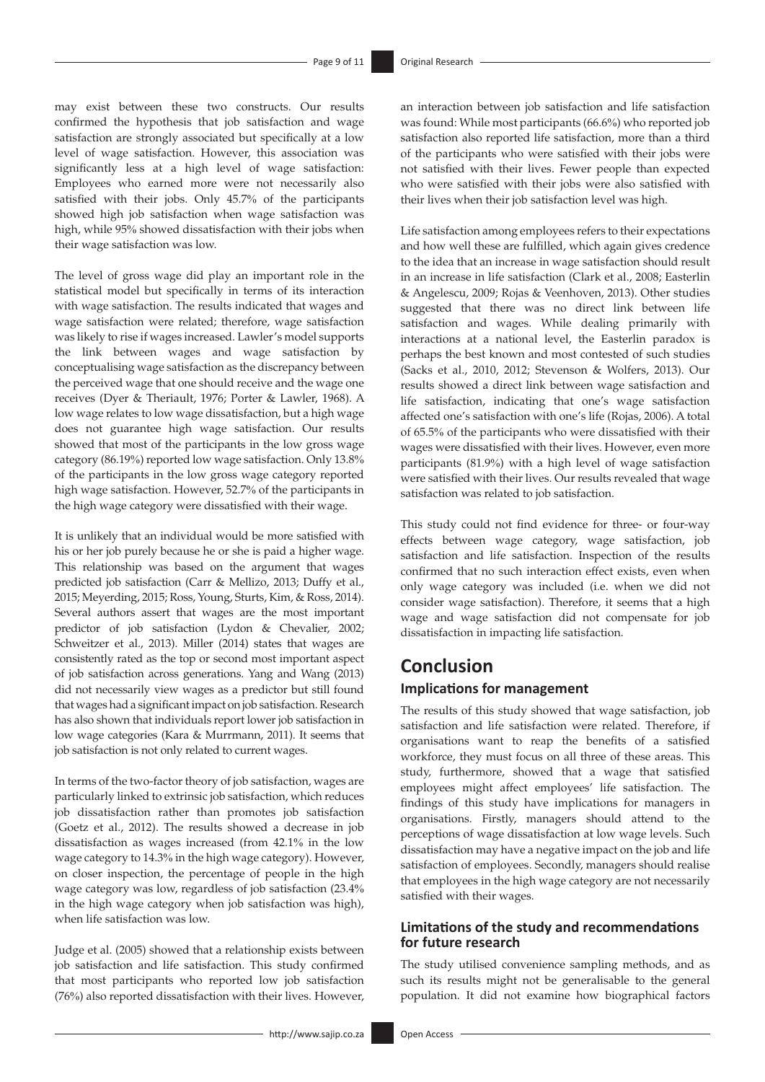may exist between these two constructs. Our results confirmed the hypothesis that job satisfaction and wage satisfaction are strongly associated but specifically at a low level of wage satisfaction. However, this association was significantly less at a high level of wage satisfaction: Employees who earned more were not necessarily also satisfied with their jobs. Only 45.7% of the participants showed high job satisfaction when wage satisfaction was high, while 95% showed dissatisfaction with their jobs when their wage satisfaction was low.

The level of gross wage did play an important role in the statistical model but specifically in terms of its interaction with wage satisfaction. The results indicated that wages and wage satisfaction were related; therefore, wage satisfaction was likely to rise if wages increased. Lawler's model supports the link between wages and wage satisfaction by conceptualising wage satisfaction as the discrepancy between the perceived wage that one should receive and the wage one receives (Dyer & Theriault, 1976; Porter & Lawler, 1968). A low wage relates to low wage dissatisfaction, but a high wage does not guarantee high wage satisfaction. Our results showed that most of the participants in the low gross wage category (86.19%) reported low wage satisfaction. Only 13.8% of the participants in the low gross wage category reported high wage satisfaction. However, 52.7% of the participants in the high wage category were dissatisfied with their wage.

It is unlikely that an individual would be more satisfied with his or her job purely because he or she is paid a higher wage. This relationship was based on the argument that wages predicted job satisfaction (Carr & Mellizo, 2013; Duffy et al., 2015; Meyerding, 2015; Ross, Young, Sturts, Kim, & Ross, 2014). Several authors assert that wages are the most important predictor of job satisfaction (Lydon & Chevalier, 2002; Schweitzer et al., 2013). Miller (2014) states that wages are consistently rated as the top or second most important aspect of job satisfaction across generations. Yang and Wang (2013) did not necessarily view wages as a predictor but still found that wages had a significant impact on job satisfaction. Research has also shown that individuals report lower job satisfaction in low wage categories (Kara & Murrmann, 2011). It seems that job satisfaction is not only related to current wages.

In terms of the two-factor theory of job satisfaction, wages are particularly linked to extrinsic job satisfaction, which reduces job dissatisfaction rather than promotes job satisfaction (Goetz et al., 2012). The results showed a decrease in job dissatisfaction as wages increased (from 42.1% in the low wage category to 14.3% in the high wage category). However, on closer inspection, the percentage of people in the high wage category was low, regardless of job satisfaction (23.4% in the high wage category when job satisfaction was high), when life satisfaction was low.

Judge et al. (2005) showed that a relationship exists between job satisfaction and life satisfaction. This study confirmed that most participants who reported low job satisfaction (76%) also reported dissatisfaction with their lives. However,

an interaction between job satisfaction and life satisfaction was found: While most participants (66.6%) who reported job satisfaction also reported life satisfaction, more than a third of the participants who were satisfied with their jobs were not satisfied with their lives. Fewer people than expected who were satisfied with their jobs were also satisfied with their lives when their job satisfaction level was high.

Life satisfaction among employees refers to their expectations and how well these are fulfilled, which again gives credence to the idea that an increase in wage satisfaction should result in an increase in life satisfaction (Clark et al., 2008; Easterlin & Angelescu, 2009; Rojas & Veenhoven, 2013). Other studies suggested that there was no direct link between life satisfaction and wages. While dealing primarily with interactions at a national level, the Easterlin paradox is perhaps the best known and most contested of such studies (Sacks et al., 2010, 2012; Stevenson & Wolfers, 2013). Our results showed a direct link between wage satisfaction and life satisfaction, indicating that one's wage satisfaction affected one's satisfaction with one's life (Rojas, 2006). A total of 65.5% of the participants who were dissatisfied with their wages were dissatisfied with their lives. However, even more participants (81.9%) with a high level of wage satisfaction were satisfied with their lives. Our results revealed that wage satisfaction was related to job satisfaction.

This study could not find evidence for three- or four-way effects between wage category, wage satisfaction, job satisfaction and life satisfaction. Inspection of the results confirmed that no such interaction effect exists, even when only wage category was included (i.e. when we did not consider wage satisfaction). Therefore, it seems that a high wage and wage satisfaction did not compensate for job dissatisfaction in impacting life satisfaction.

# **Conclusion**

### **Implications for management**

The results of this study showed that wage satisfaction, job satisfaction and life satisfaction were related. Therefore, if organisations want to reap the benefits of a satisfied workforce, they must focus on all three of these areas. This study, furthermore, showed that a wage that satisfied employees might affect employees' life satisfaction. The findings of this study have implications for managers in organisations. Firstly, managers should attend to the perceptions of wage dissatisfaction at low wage levels. Such dissatisfaction may have a negative impact on the job and life satisfaction of employees. Secondly, managers should realise that employees in the high wage category are not necessarily satisfied with their wages.

### **Limitations of the study and recommendations for future research**

The study utilised convenience sampling methods, and as such its results might not be generalisable to the general population. It did not examine how biographical factors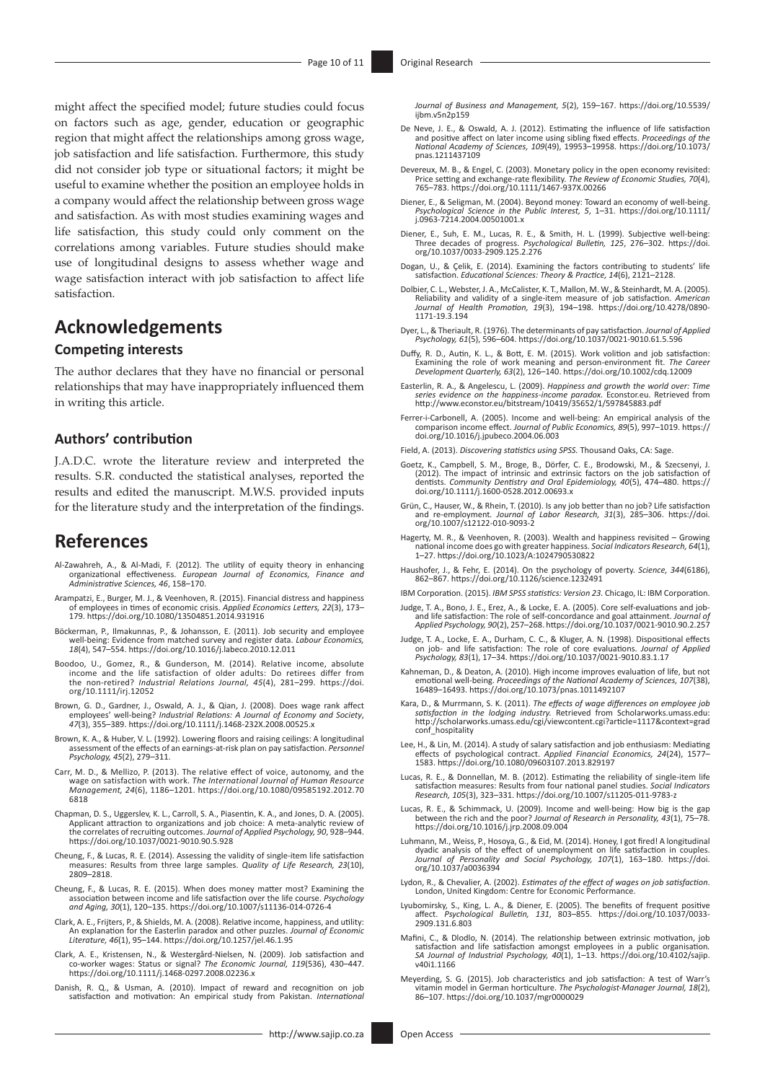might affect the specified model; future studies could focus on factors such as age, gender, education or geographic region that might affect the relationships among gross wage, job satisfaction and life satisfaction. Furthermore, this study did not consider job type or situational factors; it might be useful to examine whether the position an employee holds in a company would affect the relationship between gross wage and satisfaction. As with most studies examining wages and life satisfaction, this study could only comment on the correlations among variables. Future studies should make use of longitudinal designs to assess whether wage and wage satisfaction interact with job satisfaction to affect life satisfaction.

# **Acknowledgements**

### **Competing interests**

The author declares that they have no financial or personal relationships that may have inappropriately influenced them in writing this article.

### **Authors' contribution**

J.A.D.C. wrote the literature review and interpreted the results. S.R. conducted the statistical analyses, reported the results and edited the manuscript. M.W.S. provided inputs for the literature study and the interpretation of the findings.

## **References**

- Al-Zawahreh, A., & Al-Madi, F. (2012). The utility of equity theory in enhancing organizational effectiveness. *European Journal of Economics, Finance and Administrative Sciences, 46*, 158–170.
- Arampatzi, E., Burger, M. J., & Veenhoven, R. (2015). Financial distress and happiness of employees in times of economic crisis. *Applied Economics Letters, 22*(3), 173– 179. <https://doi.org/10.1080/13504851.2014.931916>
- Böckerman, P., Ilmakunnas, P., & Johansson, E. (2011). Job security and employee well-being: Evidence from matched survey and register data. *Labour Economics, 18*(4), 547–554.<https://doi.org/10.1016/j.labeco.2010.12.011>
- Boodoo, U., Gomez, R., & Gunderson, M. (2014). Relative income, absolute income and the life satisfaction of older adults: Do retirees differ from the non-retired? *Industrial Relations Journal, 45*(4), 281–299. [https://doi.](https://doi.org/10.1111/irj.12052) [org/10.1111/irj.12052](https://doi.org/10.1111/irj.12052)
- Brown, G. D., Gardner, J., Oswald, A. J., & Qian, J. (2008). Does wage rank affect employees' well-being? *Industrial Relations: A Journal of Economy and Society*, *47*(3), 355–389.<https://doi.org/10.1111/j.1468-232X.2008.00525.x>
- Brown, K. A., & Huber, V. L. (1992). Lowering floors and raising ceilings: A longitudinal assessment of the effects of an earnings-at-risk plan on pay satisfaction. *Personnel Psychology, 45*(2), 279–311.
- Carr, M. D., & Mellizo, P. (2013). The relative effect of voice, autonomy, and the wage on satisfaction with work. *The International Journal of Human Resource Management, 24*(6), 1186–1201. [https://doi.org/10.1080/09585192.2012.70](https://doi.org/10.1080/09585192.2012.706818) [6818](https://doi.org/10.1080/09585192.2012.706818)
- Chapman, D. S., Uggerslev, K. L., Carroll, S. A., Piasentin, K. A., and Jones, D. A. (2005). Applicant attraction to organizations and job choice: A meta-analytic review of the correlates of recruiting outcomes. *Journal of Applied Psychology, 90*, 928–944. <https://doi.org/10.1037/0021-9010.90.5.928>
- Cheung, F., & Lucas, R. E. (2014). Assessing the validity of single-item life satisfaction measures: Results from three large samples. *Quality of Life Research, 23*(10), 2809–2818.
- Cheung, F., & Lucas, R. E. (2015). When does money matter most? Examining the association between income and life satisfaction over the life course. *Psychology and Aging, 30*(1), 120–135.<https://doi.org/10.1007/s11136-014-0726-4>
- Clark, A. E., Frijters, P., & Shields, M. A. (2008). Relative income, happiness, and utility: An explanation for the Easterlin paradox and other puzzles. *Journal of Economic Literature, 46*(1), 95–144. <https://doi.org/10.1257/jel.46.1.95>
- Clark, A. E., Kristensen, N., & Westergård-Nielsen, N. (2009). Job satisfaction and co-worker wages: Status or signal? *The Economic Journal, 119*(536), 430–447. <https://doi.org/10.1111/j.1468-0297.2008.02236.x>
- Danish, R. Q., & Usman, A. (2010). Impact of reward and recognition on job satisfaction and motivation: An empirical study from Pakistan. *International*

*Journal of Business and Management, 5*(2), 159–167. [https://doi.org/10.5539/](https://doi.org/10.5539/ijbm.v5n2p159) [ijbm.v5n2p159](https://doi.org/10.5539/ijbm.v5n2p159)

- De Neve, J. E., & Oswald, A. J. (2012). Estimating the influence of life satisfaction<br>and positive affect on later income using sibling fixed effects. *Proceedings of the*<br>National Academy of Sciences, 109(49), 19953-19958 [pnas.1211437109](https://doi.org/10.1073/pnas.1211437109)
- Devereux, M. B., & Engel, C. (2003). Monetary policy in the open economy revisited:<br>Price setting and exchange-rate flexibility. The Review of Economic Studies, 70(4),<br>765–783.<https://doi.org/10.1111/1467-937X.00266>
- Diener, E., & Seligman, M. (2004). Beyond money: Toward an economy of well-being. *Psychological Science in the Public Interest, 5*, 1–31. [https://doi.org/10.1111/](https://doi.org/10.1111/j.0963-7214.2004.00501001.x) [j.0963-7214.2004.00501001.x](https://doi.org/10.1111/j.0963-7214.2004.00501001.x)
- Diener, E., Suh, E. M., Lucas, R. E., & Smith, H. L. (1999). Subjective well-being: Three decades of progress. *Psychological Bulletin, 125*, 276–302. [https://doi.](https://doi.org/10.1037/0033-2909.125.2.276) [org/10.1037/0033-2909.125.2.276](https://doi.org/10.1037/0033-2909.125.2.276)
- Dogan, U., & Çelik, E. (2014). Examining the factors contributing to students' life satisfaction. *Educational Sciences: Theory & Practice, 14*(6), 2121–2128.
- Dolbier, C. L., Webster, J. A., McCalister, K. T., Mallon, M. W., & Steinhardt, M. A. (2005). Reliability and validity of a single-item measure of job satisfaction. *American Journal of Health Promotion, 19*(3), 194–198. [https://doi.org/10.4278/0890-](https://doi.org/10.4278/0890-1171-19.3.194) [1171-19.3.194](https://doi.org/10.4278/0890-1171-19.3.194)
- Dyer, L., & Theriault, R. (1976). The determinants of pay satisfaction. *Journal of Applied Psychology, 61*(5), 596–604. <https://doi.org/10.1037/0021-9010.61.5.596>
- Duffy, R. D., Autin, K. L., & Bott, E. M. (2015). Work volition and job satisfaction:<br>Examining the role of work meaning and person-environment fit. The Career<br>Development Quarterly, 63(2), 126-140. https://doi.org/10.1002
- Easterlin, R. A., & Angelescu, L. (2009). Happiness and growth the world over: Time<br>series evidence on the happiness-income paradox. Econstor.eu. Retrieved from<br><http://www.econstor.eu/bitstream/10419/35652/1/597845883.pdf>
- Ferrer-i-Carbonell, A. (2005). Income and well-being: An empirical analysis of the comparison income effect. *Journal of Public Economics, 89*(5), 997–1019. [https://](https://doi.org/10.1016/j.jpubeco.2004.06.003) [doi.org/10.1016/j.jpubeco.2004.06.003](https://doi.org/10.1016/j.jpubeco.2004.06.003)
- Field, A. (2013). *Discovering statistics using SPSS.* Thousand Oaks, CA: Sage.
- Goetz, K., Campbell, S. M., Broge, B., Dörfer, C. E., Brodowski, M., & Szecsenyi, J. (2012). The impact of intrinsic and extrinsic factors on the job satisfaction of dentists. *Community Dentistry and Oral Epidemiology, 40*(5), 474–480. [https://](https://doi.org/10.1111/j.1600-0528.2012.00693.x) [doi.org/10.1111/j.1600-0528.2012.00693.x](https://doi.org/10.1111/j.1600-0528.2012.00693.x)
- Grün, C., Hauser, W., & Rhein, T. (2010). Is any job better than no job? Life satisfaction and re-employment. *Journal of Labor Research*, 31(3), 285–306. [https://doi.](https://doi.org/10.1007/s12122-010-9093-2)<br>[org/10.1007/s12122-010-9093-2](https://doi.org/10.1007/s12122-010-9093-2)
- Hagerty, M. R., & Veenhoven, R. (2003). Wealth and happiness revisited Growing national income does go with greater happiness. *Social Indicators Research, 64*(1), 1–27. <https://doi.org/10.1023/A:1024790530822>
- Haushofer, J., & Fehr, E. (2014). On the psychology of poverty. *Science, 344*(6186), 862–867.<https://doi.org/10.1126/science.1232491>
- IBM Corporation. (2015). *IBM SPSS statistics: Version 23.* Chicago, IL: IBM Corporation.
- Judge, T. A., Bono, J. E., Erez, A., & Locke, E. A. (2005). Core self-evaluations and job-and life satisfaction: The role of self-concordance and goal attainment. *Journal of Applied Psychology, 90*(2), 257–268.<https://doi.org/10.1037/0021-9010.90.2.257>
- Judge, T. A., Locke, E. A., Durham, C. C., & Kluger, A. N. (1998). Dispositional effects<br>on job- and life satisfaction: The role of core evaluations. Journal of Applied<br>Psychology, 83(1), 17-34. https://doi.org/10.1037/002
- Kahneman, D., & Deaton, A. (2010). High income improves evaluation of life, but not emotional well-being. *Proceedings of the National Academy of Sciences, 107*(38), 16489–16493.<https://doi.org/10.1073/pnas.1011492107>
- Kara, D., & Murrmann, S. K. (2011). The effects of wage differences on employee job<br>satisfaction in the lodging industry. Retrieved from Scholarworks.umass.edu<br>http://scholarworks.umass.edu/cgi/viewcontent.cgi?article=1117 [conf\\_hospitality](http://scholarworks.umass.edu/cgi/viewcontent.cgi?article=1117&context=gradconf_hospitality)
- Lee, H., & Lin, M. (2014). A study of salary satisfaction and job enthusiasm: Mediating effects of psychological contract. *Applied Financial Economics, 24*(24), 1577– 1583. <https://doi.org/10.1080/09603107.2013.829197>
- Lucas, R. E., & Donnellan, M. B. (2012). Estimating the reliability of single-item life<br>satisfaction measures: Results from four national panel studies. Social Indicators<br>Research, 105(3), 323-331. https://doi.org/10.1007/
- Lucas, R. E., & Schimmack, U. (2009). Income and well-being: How big is the gap between the rich and the poor? *Journal of Research in Personality, 43*(1), 75–78. <https://doi.org/10.1016/j.jrp.2008.09.004>
- Luhmann, M., Weiss, P., Hosoya, G., & Eid, M. (2014). Honey, I got fired! A longitudinal dyadic analysis of the effect of unemployment on life satisfaction in couples.<br>*Journal of Personality and Social Psychology, 107*(1), 163–180. [https://doi.](https://doi.org/10.1037/a0036394)<br>[org/10.1037/a0036394](https://doi.org/10.1037/a0036394)
- Lydon, R., & Chevalier, A. (2002). *Estimates of the effect of wages on job satisfaction*. London, United Kingdom: Centre for Economic Performance.
- Lyubomirsky, S., King, L. A., & Diener, E. (2005). The benefits of frequent positive affect. *Psychological Bulletin, 131*, 803–855. [https://doi.org/10.1037/0033-](https://doi.org/10.1037/0033-2909.131.6.803) [2909.131.6.803](https://doi.org/10.1037/0033-2909.131.6.803)
- Mafini, C., & Dlodlo, N. (2014). The relationship between extrinsic motivation, job satisfaction and life satisfaction amongst employees in a public organisation*[.](https://doi.org/10.4102/sajip.v40i1.1166) SA Journal of Industrial Psychology, <sup>40</sup>*(1), 1–13. https://doi.org/10.4102/sajip. [v40i1.1166](https://doi.org/10.4102/sajip.v40i1.1166)
- Meyerding, S. G. (2015). Job characteristics and job satisfaction: A test of Warr's vitamin model in German horticulture. *The Psychologist-Manager Journal, 18*(2), 86–107. <https://doi.org/10.1037/mgr0000029>